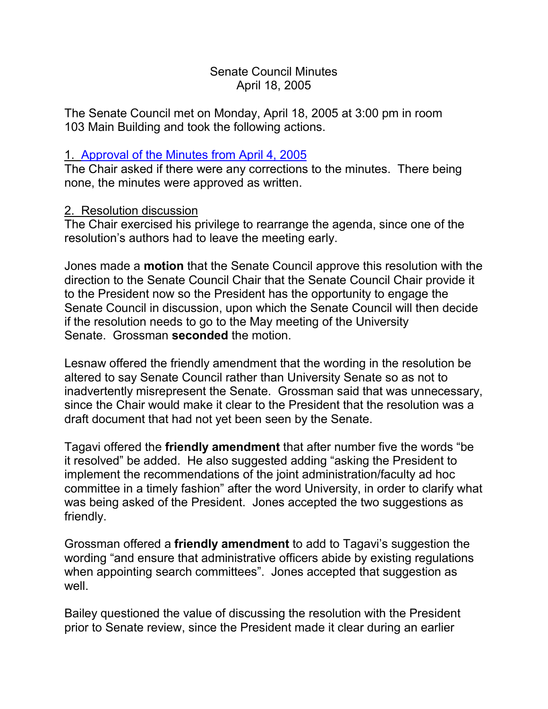# Senate Council Minutes April 18, 2005

The Senate Council met on Monday, April 18, 2005 at 3:00 pm in room 103 Main Building and took the following actions.

# 1. [Approval of the Minutes from](http://www.uky.edu/USC/New/SCMinutes/SC%20Minutes%20April%204%202005%20FINAL.htm) April 4, 2005

The Chair asked if there were any corrections to the minutes. There being none, the minutes were approved as written.

# 2. Resolution discussion

The Chair exercised his privilege to rearrange the agenda, since one of the resolution's authors had to leave the meeting early.

Jones made a **motion** that the Senate Council approve this resolution with the direction to the Senate Council Chair that the Senate Council Chair provide it to the President now so the President has the opportunity to engage the Senate Council in discussion, upon which the Senate Council will then decide if the resolution needs to go to the May meeting of the University Senate. Grossman **seconded** the motion.

Lesnaw offered the friendly amendment that the wording in the resolution be altered to say Senate Council rather than University Senate so as not to inadvertently misrepresent the Senate. Grossman said that was unnecessary, since the Chair would make it clear to the President that the resolution was a draft document that had not yet been seen by the Senate.

Tagavi offered the **friendly amendment** that after number five the words "be it resolved" be added. He also suggested adding "asking the President to implement the recommendations of the joint administration/faculty ad hoc committee in a timely fashion" after the word University, in order to clarify what was being asked of the President. Jones accepted the two suggestions as friendly.

Grossman offered a **friendly amendment** to add to Tagavi's suggestion the wording "and ensure that administrative officers abide by existing regulations when appointing search committees". Jones accepted that suggestion as well.

Bailey questioned the value of discussing the resolution with the President prior to Senate review, since the President made it clear during an earlier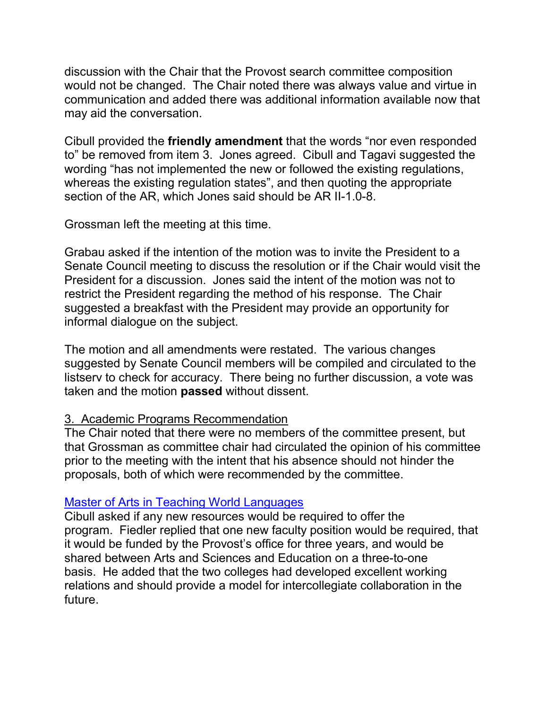discussion with the Chair that the Provost search committee composition would not be changed. The Chair noted there was always value and virtue in communication and added there was additional information available now that may aid the conversation.

Cibull provided the **friendly amendment** that the words "nor even responded to" be removed from item 3. Jones agreed. Cibull and Tagavi suggested the wording "has not implemented the new or followed the existing regulations, whereas the existing regulation states", and then quoting the appropriate section of the AR, which Jones said should be AR II-1.0-8.

Grossman left the meeting at this time.

Grabau asked if the intention of the motion was to invite the President to a Senate Council meeting to discuss the resolution or if the Chair would visit the President for a discussion. Jones said the intent of the motion was not to restrict the President regarding the method of his response. The Chair suggested a breakfast with the President may provide an opportunity for informal dialogue on the subject.

The motion and all amendments were restated. The various changes suggested by Senate Council members will be compiled and circulated to the listserv to check for accuracy. There being no further discussion, a vote was taken and the motion **passed** without dissent.

#### 3. Academic Programs Recommendation

The Chair noted that there were no members of the committee present, but that Grossman as committee chair had circulated the opinion of his committee prior to the meeting with the intent that his absence should not hinder the proposals, both of which were recommended by the committee.

### [Master of Arts in Teaching World Languages](http://www.uky.edu/USC/New/Comms/Programs/MATWLProgram%20Proposal.pdf)

Cibull asked if any new resources would be required to offer the program. Fiedler replied that one new faculty position would be required, that it would be funded by the Provost's office for three years, and would be shared between Arts and Sciences and Education on a three-to-one basis. He added that the two colleges had developed excellent working relations and should provide a model for intercollegiate collaboration in the future.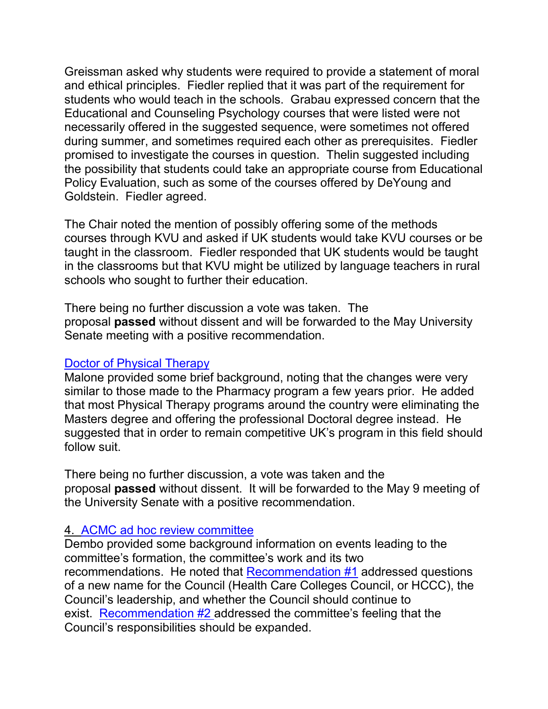Greissman asked why students were required to provide a statement of moral and ethical principles. Fiedler replied that it was part of the requirement for students who would teach in the schools. Grabau expressed concern that the Educational and Counseling Psychology courses that were listed were not necessarily offered in the suggested sequence, were sometimes not offered during summer, and sometimes required each other as prerequisites. Fiedler promised to investigate the courses in question. Thelin suggested including the possibility that students could take an appropriate course from Educational Policy Evaluation, such as some of the courses offered by DeYoung and Goldstein. Fiedler agreed.

The Chair noted the mention of possibly offering some of the methods courses through KVU and asked if UK students would take KVU courses or be taught in the classroom. Fiedler responded that UK students would be taught in the classrooms but that KVU might be utilized by language teachers in rural schools who sought to further their education.

There being no further discussion a vote was taken. The proposal **passed** without dissent and will be forwarded to the May University Senate meeting with a positive recommendation.

# [Doctor of Physical Therapy](http://www.uky.edu/USC/New/Comms/Programs/PTPhD1.pdf)

Malone provided some brief background, noting that the changes were very similar to those made to the Pharmacy program a few years prior. He added that most Physical Therapy programs around the country were eliminating the Masters degree and offering the professional Doctoral degree instead. He suggested that in order to remain competitive UK's program in this field should follow suit.

There being no further discussion, a vote was taken and the proposal **passed** without dissent. It will be forwarded to the May 9 meeting of the University Senate with a positive recommendation.

# 4. [ACMC ad hoc review committee](http://www.uky.edu/USC/New/SCAgendas/20050418/Cover%20letter.doc)

Dembo provided some background information on events leading to the committee's formation, the committee's work and its two recommendations. He noted that [Recommendation #1](http://www.uky.edu/USC/New/SCAgendas/20050418/ACMC%20Review%20Comm%20Resolution%201.doc) addressed questions of a new name for the Council (Health Care Colleges Council, or HCCC), the Council's leadership, and whether the Council should continue to exist. [Recommendation #2](http://www.uky.edu/USC/New/SCAgendas/20050418/ACMC%20Review%20Comm%20Resolution%202.doc) addressed the committee's feeling that the Council's responsibilities should be expanded.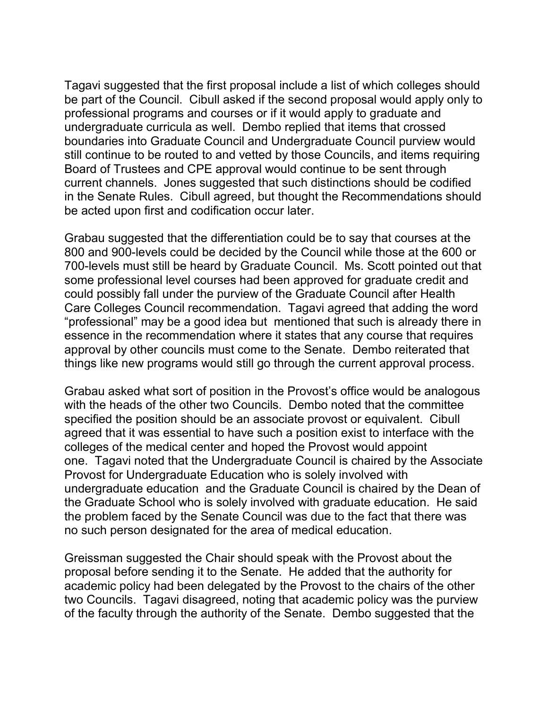Tagavi suggested that the first proposal include a list of which colleges should be part of the Council. Cibull asked if the second proposal would apply only to professional programs and courses or if it would apply to graduate and undergraduate curricula as well. Dembo replied that items that crossed boundaries into Graduate Council and Undergraduate Council purview would still continue to be routed to and vetted by those Councils, and items requiring Board of Trustees and CPE approval would continue to be sent through current channels. Jones suggested that such distinctions should be codified in the Senate Rules. Cibull agreed, but thought the Recommendations should be acted upon first and codification occur later.

Grabau suggested that the differentiation could be to say that courses at the 800 and 900-levels could be decided by the Council while those at the 600 or 700-levels must still be heard by Graduate Council. Ms. Scott pointed out that some professional level courses had been approved for graduate credit and could possibly fall under the purview of the Graduate Council after Health Care Colleges Council recommendation. Tagavi agreed that adding the word "professional" may be a good idea but mentioned that such is already there in essence in the recommendation where it states that any course that requires approval by other councils must come to the Senate. Dembo reiterated that things like new programs would still go through the current approval process.

Grabau asked what sort of position in the Provost's office would be analogous with the heads of the other two Councils. Dembo noted that the committee specified the position should be an associate provost or equivalent. Cibull agreed that it was essential to have such a position exist to interface with the colleges of the medical center and hoped the Provost would appoint one. Tagavi noted that the Undergraduate Council is chaired by the Associate Provost for Undergraduate Education who is solely involved with undergraduate education and the Graduate Council is chaired by the Dean of the Graduate School who is solely involved with graduate education. He said the problem faced by the Senate Council was due to the fact that there was no such person designated for the area of medical education.

Greissman suggested the Chair should speak with the Provost about the proposal before sending it to the Senate. He added that the authority for academic policy had been delegated by the Provost to the chairs of the other two Councils. Tagavi disagreed, noting that academic policy was the purview of the faculty through the authority of the Senate. Dembo suggested that the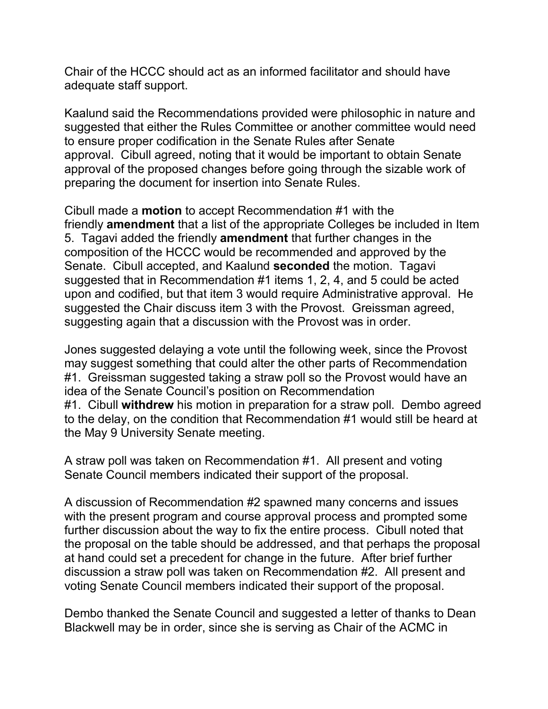Chair of the HCCC should act as an informed facilitator and should have adequate staff support.

Kaalund said the Recommendations provided were philosophic in nature and suggested that either the Rules Committee or another committee would need to ensure proper codification in the Senate Rules after Senate approval. Cibull agreed, noting that it would be important to obtain Senate approval of the proposed changes before going through the sizable work of preparing the document for insertion into Senate Rules.

Cibull made a **motion** to accept Recommendation #1 with the friendly **amendment** that a list of the appropriate Colleges be included in Item 5. Tagavi added the friendly **amendment** that further changes in the composition of the HCCC would be recommended and approved by the Senate. Cibull accepted, and Kaalund **seconded** the motion. Tagavi suggested that in Recommendation #1 items 1, 2, 4, and 5 could be acted upon and codified, but that item 3 would require Administrative approval. He suggested the Chair discuss item 3 with the Provost. Greissman agreed, suggesting again that a discussion with the Provost was in order.

Jones suggested delaying a vote until the following week, since the Provost may suggest something that could alter the other parts of Recommendation #1. Greissman suggested taking a straw poll so the Provost would have an idea of the Senate Council's position on Recommendation #1. Cibull **withdrew** his motion in preparation for a straw poll. Dembo agreed to the delay, on the condition that Recommendation #1 would still be heard at the May 9 University Senate meeting.

A straw poll was taken on Recommendation #1. All present and voting Senate Council members indicated their support of the proposal.

A discussion of Recommendation #2 spawned many concerns and issues with the present program and course approval process and prompted some further discussion about the way to fix the entire process. Cibull noted that the proposal on the table should be addressed, and that perhaps the proposal at hand could set a precedent for change in the future. After brief further discussion a straw poll was taken on Recommendation #2. All present and voting Senate Council members indicated their support of the proposal.

Dembo thanked the Senate Council and suggested a letter of thanks to Dean Blackwell may be in order, since she is serving as Chair of the ACMC in